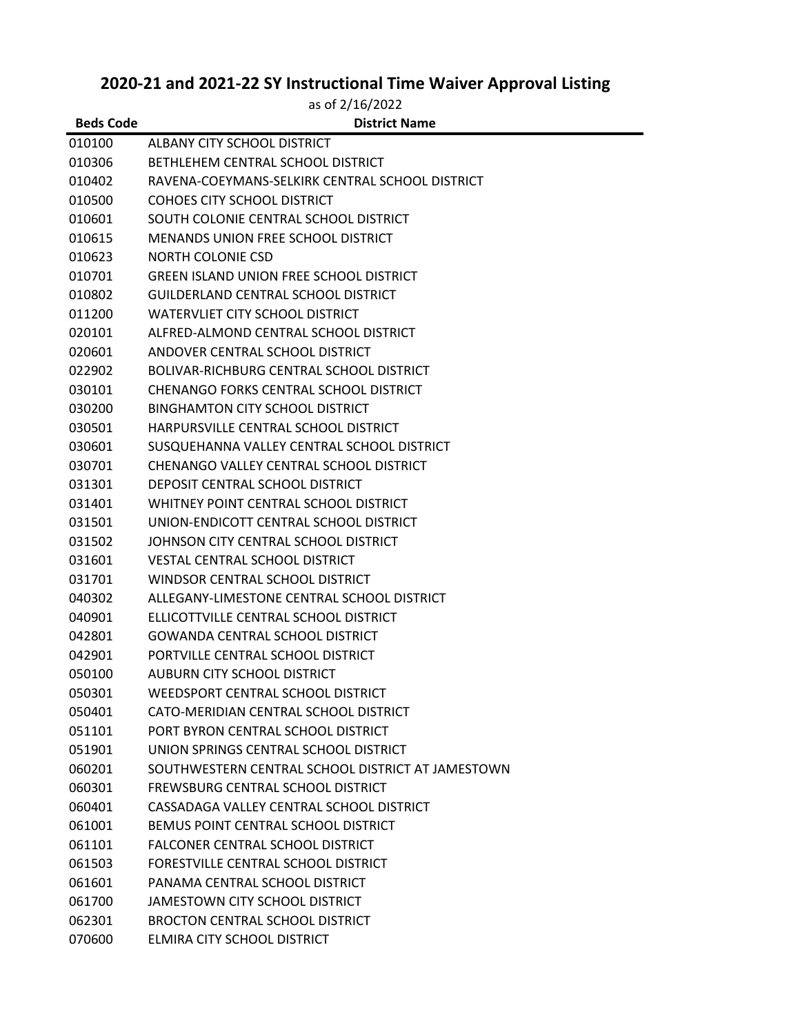## **2020-21 and 2021-22 SY Instructional Time Waiver Approval Listing**

|                  | as of 2/16/2022                                   |
|------------------|---------------------------------------------------|
| <b>Beds Code</b> | <b>District Name</b>                              |
| 010100           | ALBANY CITY SCHOOL DISTRICT                       |
| 010306           | BETHLEHEM CENTRAL SCHOOL DISTRICT                 |
| 010402           | RAVENA-COEYMANS-SELKIRK CENTRAL SCHOOL DISTRICT   |
| 010500           | COHOES CITY SCHOOL DISTRICT                       |
| 010601           | SOUTH COLONIE CENTRAL SCHOOL DISTRICT             |
| 010615           | <b>MENANDS UNION FREE SCHOOL DISTRICT</b>         |
| 010623           | NORTH COLONIE CSD                                 |
| 010701           | <b>GREEN ISLAND UNION FREE SCHOOL DISTRICT</b>    |
| 010802           | GUILDERLAND CENTRAL SCHOOL DISTRICT               |
| 011200           | WATERVLIET CITY SCHOOL DISTRICT                   |
| 020101           | ALFRED-ALMOND CENTRAL SCHOOL DISTRICT             |
| 020601           | ANDOVER CENTRAL SCHOOL DISTRICT                   |
| 022902           | <b>BOLIVAR-RICHBURG CENTRAL SCHOOL DISTRICT</b>   |
| 030101           | CHENANGO FORKS CENTRAL SCHOOL DISTRICT            |
| 030200           | <b>BINGHAMTON CITY SCHOOL DISTRICT</b>            |
| 030501           | HARPURSVILLE CENTRAL SCHOOL DISTRICT              |
| 030601           | SUSQUEHANNA VALLEY CENTRAL SCHOOL DISTRICT        |
| 030701           | CHENANGO VALLEY CENTRAL SCHOOL DISTRICT           |
| 031301           | DEPOSIT CENTRAL SCHOOL DISTRICT                   |
| 031401           | WHITNEY POINT CENTRAL SCHOOL DISTRICT             |
| 031501           | UNION-ENDICOTT CENTRAL SCHOOL DISTRICT            |
| 031502           | JOHNSON CITY CENTRAL SCHOOL DISTRICT              |
| 031601           | <b>VESTAL CENTRAL SCHOOL DISTRICT</b>             |
| 031701           | WINDSOR CENTRAL SCHOOL DISTRICT                   |
| 040302           | ALLEGANY-LIMESTONE CENTRAL SCHOOL DISTRICT        |
| 040901           | ELLICOTTVILLE CENTRAL SCHOOL DISTRICT             |
| 042801           | <b>GOWANDA CENTRAL SCHOOL DISTRICT</b>            |
| 042901           | PORTVILLE CENTRAL SCHOOL DISTRICT                 |
| 050100           | AUBURN CITY SCHOOL DISTRICT                       |
| 050301           | WEEDSPORT CENTRAL SCHOOL DISTRICT                 |
| 050401           | CATO-MERIDIAN CENTRAL SCHOOL DISTRICT             |
| 051101           | PORT BYRON CENTRAL SCHOOL DISTRICT                |
| 051901           | UNION SPRINGS CENTRAL SCHOOL DISTRICT             |
| 060201           | SOUTHWESTERN CENTRAL SCHOOL DISTRICT AT JAMESTOWN |
| 060301           | FREWSBURG CENTRAL SCHOOL DISTRICT                 |
| 060401           | CASSADAGA VALLEY CENTRAL SCHOOL DISTRICT          |
| 061001           | BEMUS POINT CENTRAL SCHOOL DISTRICT               |
| 061101           | FALCONER CENTRAL SCHOOL DISTRICT                  |
| 061503           | FORESTVILLE CENTRAL SCHOOL DISTRICT               |
| 061601           | PANAMA CENTRAL SCHOOL DISTRICT                    |
| 061700           | <b>JAMESTOWN CITY SCHOOL DISTRICT</b>             |
| 062301           | <b>BROCTON CENTRAL SCHOOL DISTRICT</b>            |
| 070600           | ELMIRA CITY SCHOOL DISTRICT                       |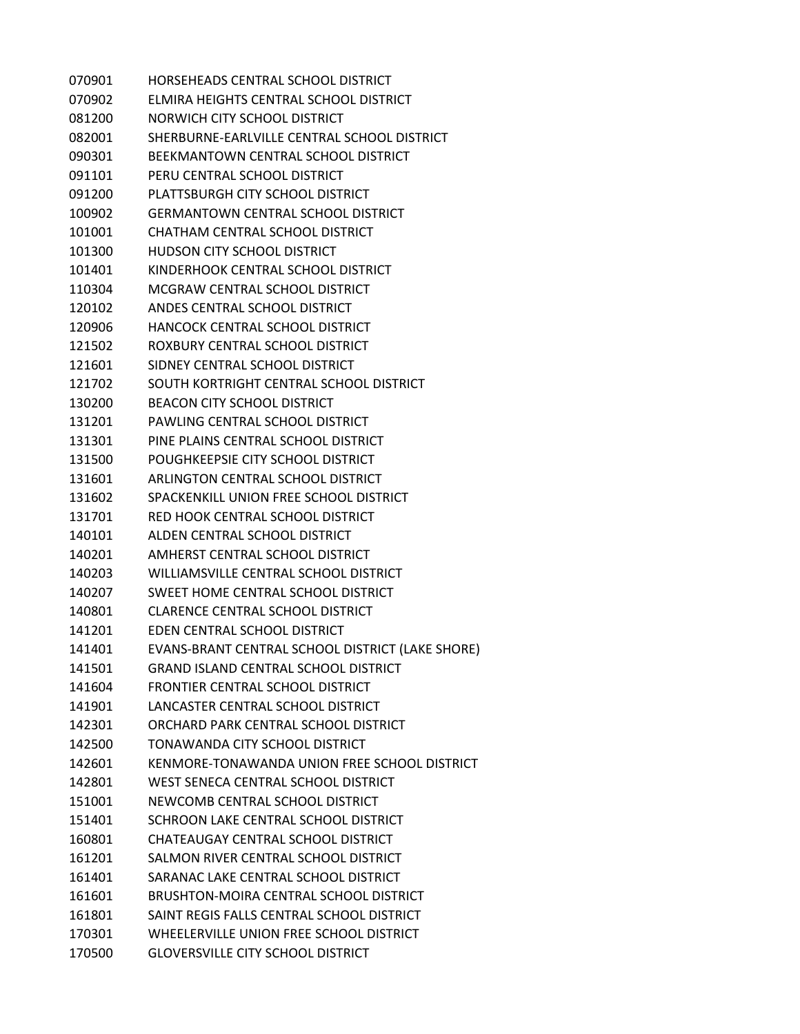HORSEHEADS CENTRAL SCHOOL DISTRICT ELMIRA HEIGHTS CENTRAL SCHOOL DISTRICT NORWICH CITY SCHOOL DISTRICT SHERBURNE-EARLVILLE CENTRAL SCHOOL DISTRICT BEEKMANTOWN CENTRAL SCHOOL DISTRICT PERU CENTRAL SCHOOL DISTRICT PLATTSBURGH CITY SCHOOL DISTRICT GERMANTOWN CENTRAL SCHOOL DISTRICT CHATHAM CENTRAL SCHOOL DISTRICT HUDSON CITY SCHOOL DISTRICT KINDERHOOK CENTRAL SCHOOL DISTRICT MCGRAW CENTRAL SCHOOL DISTRICT ANDES CENTRAL SCHOOL DISTRICT HANCOCK CENTRAL SCHOOL DISTRICT ROXBURY CENTRAL SCHOOL DISTRICT SIDNEY CENTRAL SCHOOL DISTRICT SOUTH KORTRIGHT CENTRAL SCHOOL DISTRICT BEACON CITY SCHOOL DISTRICT PAWLING CENTRAL SCHOOL DISTRICT PINE PLAINS CENTRAL SCHOOL DISTRICT POUGHKEEPSIE CITY SCHOOL DISTRICT ARLINGTON CENTRAL SCHOOL DISTRICT SPACKENKILL UNION FREE SCHOOL DISTRICT RED HOOK CENTRAL SCHOOL DISTRICT ALDEN CENTRAL SCHOOL DISTRICT AMHERST CENTRAL SCHOOL DISTRICT WILLIAMSVILLE CENTRAL SCHOOL DISTRICT SWEET HOME CENTRAL SCHOOL DISTRICT CLARENCE CENTRAL SCHOOL DISTRICT EDEN CENTRAL SCHOOL DISTRICT EVANS-BRANT CENTRAL SCHOOL DISTRICT (LAKE SHORE) GRAND ISLAND CENTRAL SCHOOL DISTRICT FRONTIER CENTRAL SCHOOL DISTRICT LANCASTER CENTRAL SCHOOL DISTRICT ORCHARD PARK CENTRAL SCHOOL DISTRICT TONAWANDA CITY SCHOOL DISTRICT KENMORE-TONAWANDA UNION FREE SCHOOL DISTRICT WEST SENECA CENTRAL SCHOOL DISTRICT NEWCOMB CENTRAL SCHOOL DISTRICT SCHROON LAKE CENTRAL SCHOOL DISTRICT CHATEAUGAY CENTRAL SCHOOL DISTRICT SALMON RIVER CENTRAL SCHOOL DISTRICT SARANAC LAKE CENTRAL SCHOOL DISTRICT BRUSHTON-MOIRA CENTRAL SCHOOL DISTRICT SAINT REGIS FALLS CENTRAL SCHOOL DISTRICT WHEELERVILLE UNION FREE SCHOOL DISTRICT GLOVERSVILLE CITY SCHOOL DISTRICT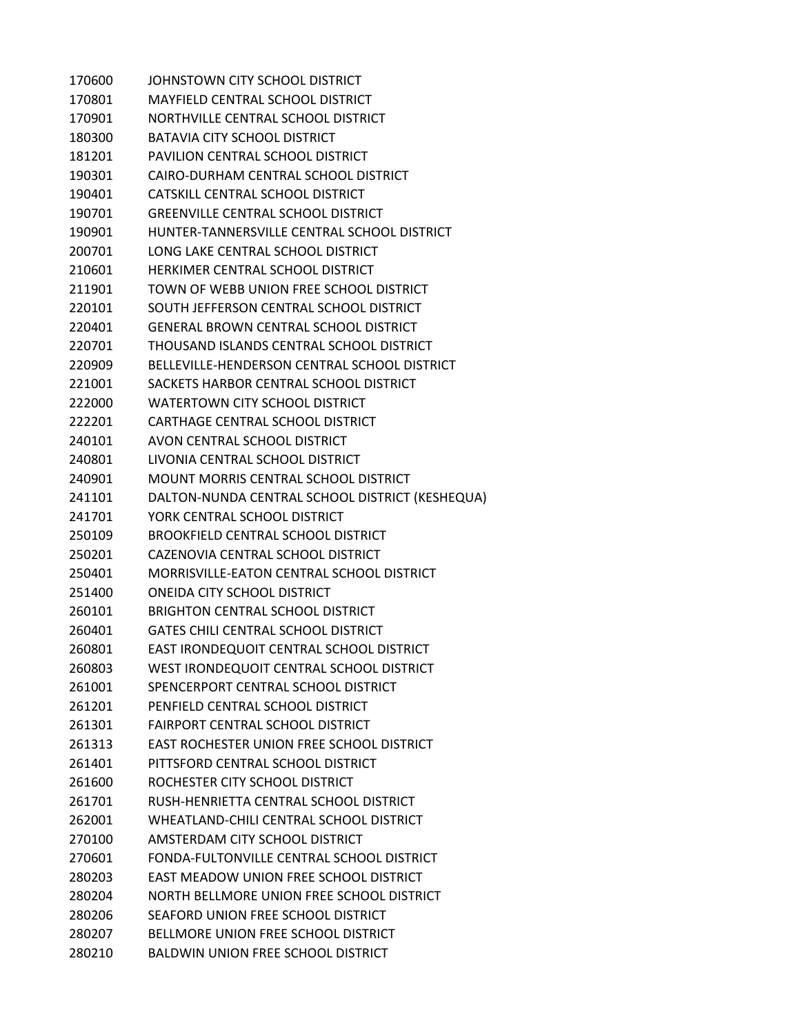| 170600 | JOHNSTOWN CITY SCHOOL DISTRICT                  |
|--------|-------------------------------------------------|
| 170801 | MAYFIELD CENTRAL SCHOOL DISTRICT                |
| 170901 | NORTHVILLE CENTRAL SCHOOL DISTRICT              |
| 180300 | <b>BATAVIA CITY SCHOOL DISTRICT</b>             |
| 181201 | PAVILION CENTRAL SCHOOL DISTRICT                |
| 190301 | CAIRO-DURHAM CENTRAL SCHOOL DISTRICT            |
| 190401 | CATSKILL CENTRAL SCHOOL DISTRICT                |
| 190701 | <b>GREENVILLE CENTRAL SCHOOL DISTRICT</b>       |
| 190901 | HUNTER-TANNERSVILLE CENTRAL SCHOOL DISTRICT     |
| 200701 | LONG LAKE CENTRAL SCHOOL DISTRICT               |
| 210601 | HERKIMER CENTRAL SCHOOL DISTRICT                |
| 211901 | TOWN OF WEBB UNION FREE SCHOOL DISTRICT         |
| 220101 | SOUTH JEFFERSON CENTRAL SCHOOL DISTRICT         |
| 220401 | GENERAL BROWN CENTRAL SCHOOL DISTRICT           |
| 220701 | THOUSAND ISLANDS CENTRAL SCHOOL DISTRICT        |
| 220909 | BELLEVILLE-HENDERSON CENTRAL SCHOOL DISTRICT    |
| 221001 | SACKETS HARBOR CENTRAL SCHOOL DISTRICT          |
| 222000 | WATERTOWN CITY SCHOOL DISTRICT                  |
| 222201 | CARTHAGE CENTRAL SCHOOL DISTRICT                |
| 240101 | AVON CENTRAL SCHOOL DISTRICT                    |
| 240801 | LIVONIA CENTRAL SCHOOL DISTRICT                 |
| 240901 | MOUNT MORRIS CENTRAL SCHOOL DISTRICT            |
| 241101 | DALTON-NUNDA CENTRAL SCHOOL DISTRICT (KESHEQUA) |
| 241701 | YORK CENTRAL SCHOOL DISTRICT                    |
| 250109 | <b>BROOKFIELD CENTRAL SCHOOL DISTRICT</b>       |
| 250201 | CAZENOVIA CENTRAL SCHOOL DISTRICT               |
| 250401 | MORRISVILLE-EATON CENTRAL SCHOOL DISTRICT       |
| 251400 | ONEIDA CITY SCHOOL DISTRICT                     |
| 260101 | <b>BRIGHTON CENTRAL SCHOOL DISTRICT</b>         |
| 260401 | <b>GATES CHILI CENTRAL SCHOOL DISTRICT</b>      |
| 260801 | EAST IRONDEQUOIT CENTRAL SCHOOL DISTRICT        |
| 260803 | WEST IRONDEQUOIT CENTRAL SCHOOL DISTRICT        |
| 261001 | SPENCERPORT CENTRAL SCHOOL DISTRICT             |
| 261201 | PENFIELD CENTRAL SCHOOL DISTRICT                |
| 261301 | <b>FAIRPORT CENTRAL SCHOOL DISTRICT</b>         |
| 261313 | EAST ROCHESTER UNION FREE SCHOOL DISTRICT       |
| 261401 | PITTSFORD CENTRAL SCHOOL DISTRICT               |
| 261600 | ROCHESTER CITY SCHOOL DISTRICT                  |
| 261701 | RUSH-HENRIETTA CENTRAL SCHOOL DISTRICT          |
| 262001 | WHEATLAND-CHILI CENTRAL SCHOOL DISTRICT         |
| 270100 | AMSTERDAM CITY SCHOOL DISTRICT                  |
| 270601 | FONDA-FULTONVILLE CENTRAL SCHOOL DISTRICT       |
| 280203 | EAST MEADOW UNION FREE SCHOOL DISTRICT          |
| 280204 | NORTH BELLMORE UNION FREE SCHOOL DISTRICT       |
| 280206 | SEAFORD UNION FREE SCHOOL DISTRICT              |
| 280207 | BELLMORE UNION FREE SCHOOL DISTRICT             |
| 280210 | <b>BALDWIN UNION FREE SCHOOL DISTRICT</b>       |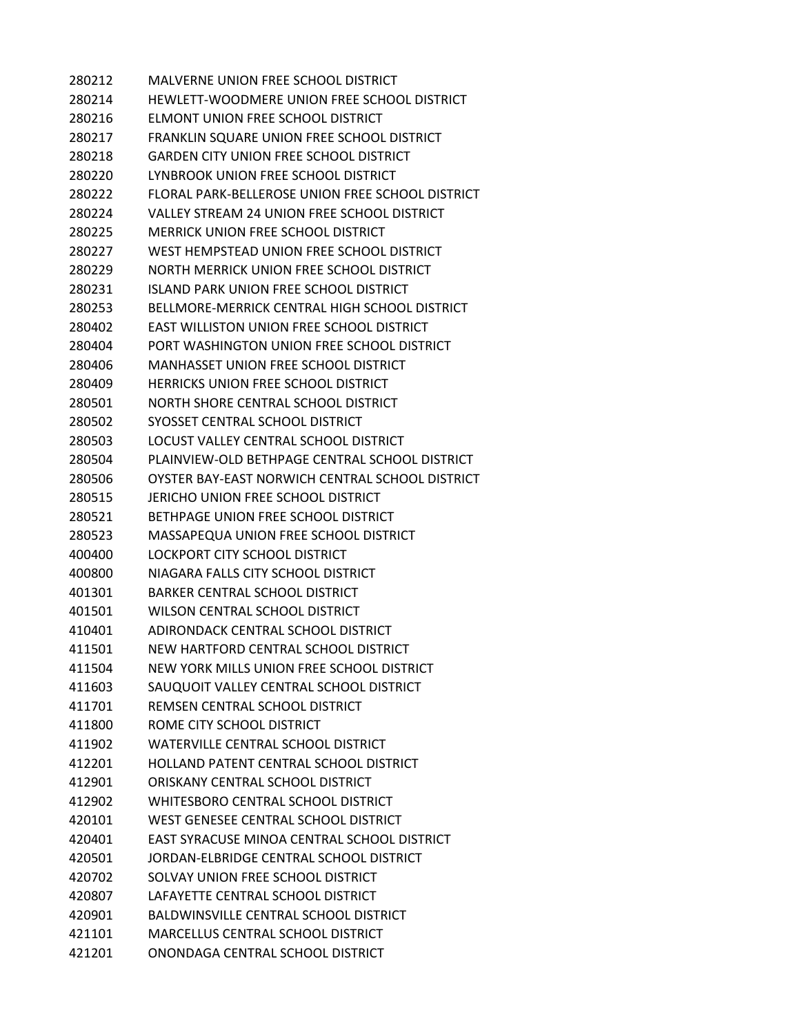MALVERNE UNION FREE SCHOOL DISTRICT HEWLETT-WOODMERE UNION FREE SCHOOL DISTRICT ELMONT UNION FREE SCHOOL DISTRICT FRANKLIN SQUARE UNION FREE SCHOOL DISTRICT GARDEN CITY UNION FREE SCHOOL DISTRICT LYNBROOK UNION FREE SCHOOL DISTRICT FLORAL PARK-BELLEROSE UNION FREE SCHOOL DISTRICT VALLEY STREAM 24 UNION FREE SCHOOL DISTRICT MERRICK UNION FREE SCHOOL DISTRICT WEST HEMPSTEAD UNION FREE SCHOOL DISTRICT NORTH MERRICK UNION FREE SCHOOL DISTRICT ISLAND PARK UNION FREE SCHOOL DISTRICT BELLMORE-MERRICK CENTRAL HIGH SCHOOL DISTRICT EAST WILLISTON UNION FREE SCHOOL DISTRICT PORT WASHINGTON UNION FREE SCHOOL DISTRICT MANHASSET UNION FREE SCHOOL DISTRICT HERRICKS UNION FREE SCHOOL DISTRICT NORTH SHORE CENTRAL SCHOOL DISTRICT SYOSSET CENTRAL SCHOOL DISTRICT LOCUST VALLEY CENTRAL SCHOOL DISTRICT PLAINVIEW-OLD BETHPAGE CENTRAL SCHOOL DISTRICT OYSTER BAY-EAST NORWICH CENTRAL SCHOOL DISTRICT JERICHO UNION FREE SCHOOL DISTRICT BETHPAGE UNION FREE SCHOOL DISTRICT MASSAPEQUA UNION FREE SCHOOL DISTRICT LOCKPORT CITY SCHOOL DISTRICT NIAGARA FALLS CITY SCHOOL DISTRICT BARKER CENTRAL SCHOOL DISTRICT WILSON CENTRAL SCHOOL DISTRICT ADIRONDACK CENTRAL SCHOOL DISTRICT NEW HARTFORD CENTRAL SCHOOL DISTRICT NEW YORK MILLS UNION FREE SCHOOL DISTRICT SAUQUOIT VALLEY CENTRAL SCHOOL DISTRICT REMSEN CENTRAL SCHOOL DISTRICT ROME CITY SCHOOL DISTRICT WATERVILLE CENTRAL SCHOOL DISTRICT HOLLAND PATENT CENTRAL SCHOOL DISTRICT ORISKANY CENTRAL SCHOOL DISTRICT WHITESBORO CENTRAL SCHOOL DISTRICT WEST GENESEE CENTRAL SCHOOL DISTRICT EAST SYRACUSE MINOA CENTRAL SCHOOL DISTRICT JORDAN-ELBRIDGE CENTRAL SCHOOL DISTRICT SOLVAY UNION FREE SCHOOL DISTRICT LAFAYETTE CENTRAL SCHOOL DISTRICT BALDWINSVILLE CENTRAL SCHOOL DISTRICT MARCELLUS CENTRAL SCHOOL DISTRICT ONONDAGA CENTRAL SCHOOL DISTRICT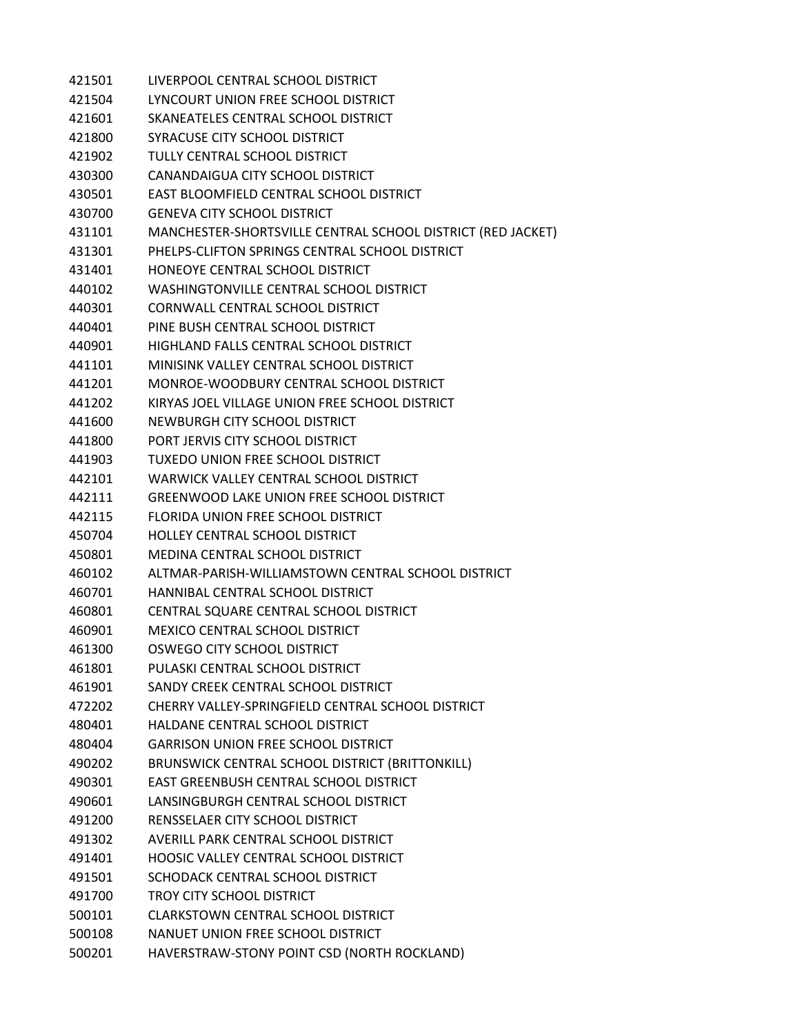| 421501 | LIVERPOOL CENTRAL SCHOOL DISTRICT                           |
|--------|-------------------------------------------------------------|
| 421504 | LYNCOURT UNION FREE SCHOOL DISTRICT                         |
| 421601 | SKANEATELES CENTRAL SCHOOL DISTRICT                         |
| 421800 | SYRACUSE CITY SCHOOL DISTRICT                               |
| 421902 | TULLY CENTRAL SCHOOL DISTRICT                               |
| 430300 | CANANDAIGUA CITY SCHOOL DISTRICT                            |
| 430501 | EAST BLOOMFIELD CENTRAL SCHOOL DISTRICT                     |
| 430700 | <b>GENEVA CITY SCHOOL DISTRICT</b>                          |
| 431101 | MANCHESTER-SHORTSVILLE CENTRAL SCHOOL DISTRICT (RED JACKET) |
| 431301 | PHELPS-CLIFTON SPRINGS CENTRAL SCHOOL DISTRICT              |
| 431401 | HONEOYE CENTRAL SCHOOL DISTRICT                             |
| 440102 | WASHINGTONVILLE CENTRAL SCHOOL DISTRICT                     |
| 440301 | CORNWALL CENTRAL SCHOOL DISTRICT                            |
| 440401 | PINE BUSH CENTRAL SCHOOL DISTRICT                           |
| 440901 | HIGHLAND FALLS CENTRAL SCHOOL DISTRICT                      |
| 441101 | MINISINK VALLEY CENTRAL SCHOOL DISTRICT                     |
| 441201 | MONROE-WOODBURY CENTRAL SCHOOL DISTRICT                     |
| 441202 | KIRYAS JOEL VILLAGE UNION FREE SCHOOL DISTRICT              |
| 441600 | NEWBURGH CITY SCHOOL DISTRICT                               |
| 441800 | PORT JERVIS CITY SCHOOL DISTRICT                            |
| 441903 | TUXEDO UNION FREE SCHOOL DISTRICT                           |
| 442101 | WARWICK VALLEY CENTRAL SCHOOL DISTRICT                      |
| 442111 | <b>GREENWOOD LAKE UNION FREE SCHOOL DISTRICT</b>            |
| 442115 | FLORIDA UNION FREE SCHOOL DISTRICT                          |
| 450704 | <b>HOLLEY CENTRAL SCHOOL DISTRICT</b>                       |
| 450801 | MEDINA CENTRAL SCHOOL DISTRICT                              |
| 460102 | ALTMAR-PARISH-WILLIAMSTOWN CENTRAL SCHOOL DISTRICT          |
| 460701 | HANNIBAL CENTRAL SCHOOL DISTRICT                            |
| 460801 | CENTRAL SQUARE CENTRAL SCHOOL DISTRICT                      |
| 460901 | <b>MEXICO CENTRAL SCHOOL DISTRICT</b>                       |
| 461300 | OSWEGO CITY SCHOOL DISTRICT                                 |
| 461801 | PULASKI CENTRAL SCHOOL DISTRICT                             |
| 461901 | SANDY CREEK CENTRAL SCHOOL DISTRICT                         |
| 472202 | CHERRY VALLEY-SPRINGFIELD CENTRAL SCHOOL DISTRICT           |
| 480401 | HALDANE CENTRAL SCHOOL DISTRICT                             |
| 480404 | <b>GARRISON UNION FREE SCHOOL DISTRICT</b>                  |
| 490202 | BRUNSWICK CENTRAL SCHOOL DISTRICT (BRITTONKILL)             |
| 490301 | EAST GREENBUSH CENTRAL SCHOOL DISTRICT                      |
| 490601 | LANSINGBURGH CENTRAL SCHOOL DISTRICT                        |
| 491200 | RENSSELAER CITY SCHOOL DISTRICT                             |
| 491302 | AVERILL PARK CENTRAL SCHOOL DISTRICT                        |
| 491401 | HOOSIC VALLEY CENTRAL SCHOOL DISTRICT                       |
| 491501 | SCHODACK CENTRAL SCHOOL DISTRICT                            |
| 491700 | <b>TROY CITY SCHOOL DISTRICT</b>                            |
| 500101 | <b>CLARKSTOWN CENTRAL SCHOOL DISTRICT</b>                   |
| 500108 | NANUET UNION FREE SCHOOL DISTRICT                           |
| 500201 | HAVERSTRAW-STONY POINT CSD (NORTH ROCKLAND)                 |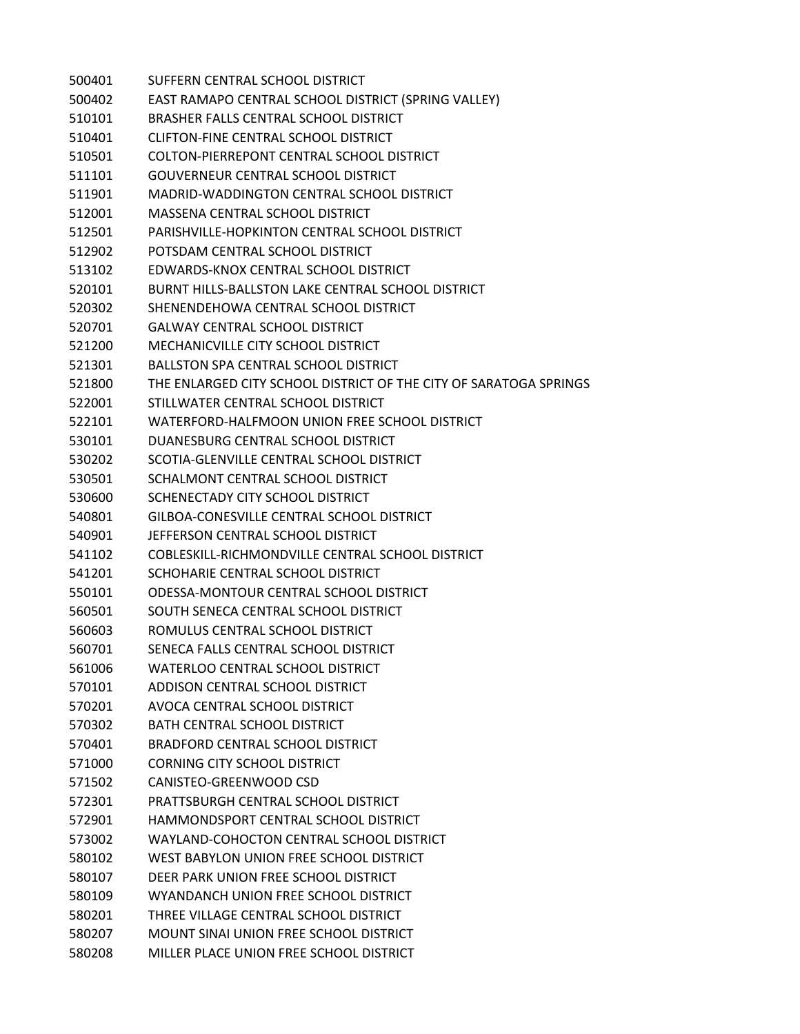SUFFERN CENTRAL SCHOOL DISTRICT EAST RAMAPO CENTRAL SCHOOL DISTRICT (SPRING VALLEY) BRASHER FALLS CENTRAL SCHOOL DISTRICT CLIFTON-FINE CENTRAL SCHOOL DISTRICT COLTON-PIERREPONT CENTRAL SCHOOL DISTRICT GOUVERNEUR CENTRAL SCHOOL DISTRICT MADRID-WADDINGTON CENTRAL SCHOOL DISTRICT MASSENA CENTRAL SCHOOL DISTRICT PARISHVILLE-HOPKINTON CENTRAL SCHOOL DISTRICT POTSDAM CENTRAL SCHOOL DISTRICT EDWARDS-KNOX CENTRAL SCHOOL DISTRICT BURNT HILLS-BALLSTON LAKE CENTRAL SCHOOL DISTRICT SHENENDEHOWA CENTRAL SCHOOL DISTRICT GALWAY CENTRAL SCHOOL DISTRICT MECHANICVILLE CITY SCHOOL DISTRICT BALLSTON SPA CENTRAL SCHOOL DISTRICT THE ENLARGED CITY SCHOOL DISTRICT OF THE CITY OF SARATOGA SPRINGS STILLWATER CENTRAL SCHOOL DISTRICT WATERFORD-HALFMOON UNION FREE SCHOOL DISTRICT DUANESBURG CENTRAL SCHOOL DISTRICT SCOTIA-GLENVILLE CENTRAL SCHOOL DISTRICT SCHALMONT CENTRAL SCHOOL DISTRICT SCHENECTADY CITY SCHOOL DISTRICT GILBOA-CONESVILLE CENTRAL SCHOOL DISTRICT JEFFERSON CENTRAL SCHOOL DISTRICT COBLESKILL-RICHMONDVILLE CENTRAL SCHOOL DISTRICT SCHOHARIE CENTRAL SCHOOL DISTRICT ODESSA-MONTOUR CENTRAL SCHOOL DISTRICT SOUTH SENECA CENTRAL SCHOOL DISTRICT ROMULUS CENTRAL SCHOOL DISTRICT SENECA FALLS CENTRAL SCHOOL DISTRICT WATERLOO CENTRAL SCHOOL DISTRICT ADDISON CENTRAL SCHOOL DISTRICT AVOCA CENTRAL SCHOOL DISTRICT BATH CENTRAL SCHOOL DISTRICT BRADFORD CENTRAL SCHOOL DISTRICT CORNING CITY SCHOOL DISTRICT CANISTEO-GREENWOOD CSD PRATTSBURGH CENTRAL SCHOOL DISTRICT HAMMONDSPORT CENTRAL SCHOOL DISTRICT WAYLAND-COHOCTON CENTRAL SCHOOL DISTRICT WEST BABYLON UNION FREE SCHOOL DISTRICT DEER PARK UNION FREE SCHOOL DISTRICT WYANDANCH UNION FREE SCHOOL DISTRICT THREE VILLAGE CENTRAL SCHOOL DISTRICT MOUNT SINAI UNION FREE SCHOOL DISTRICT MILLER PLACE UNION FREE SCHOOL DISTRICT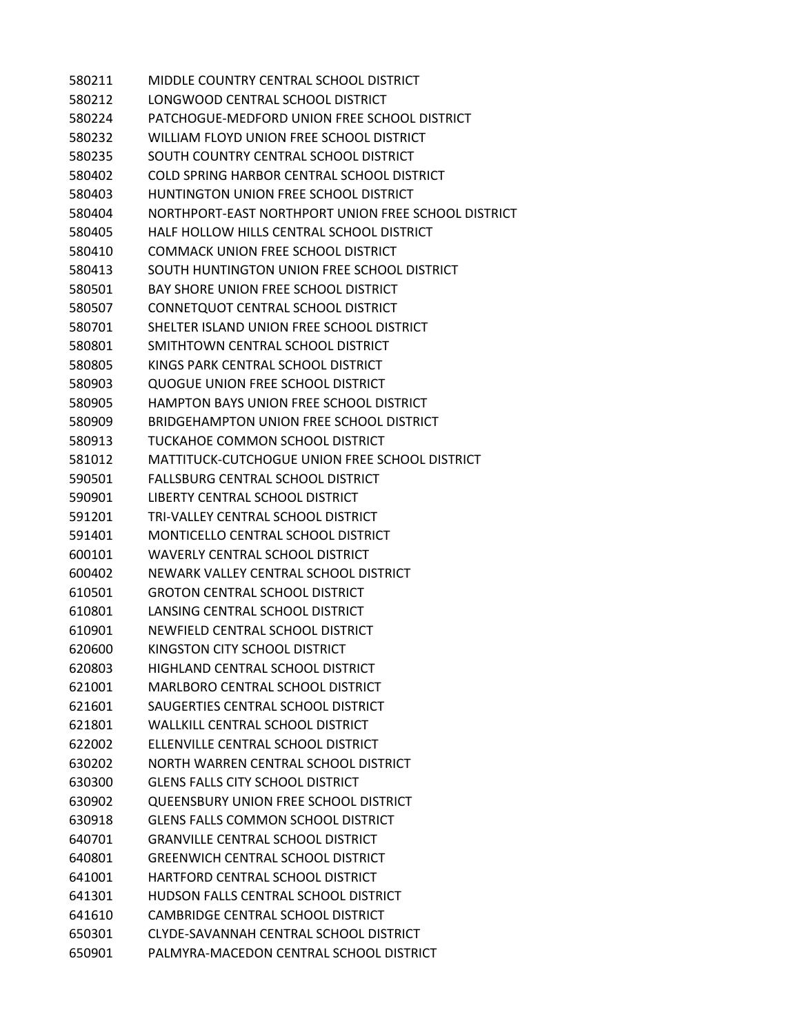MIDDLE COUNTRY CENTRAL SCHOOL DISTRICT LONGWOOD CENTRAL SCHOOL DISTRICT PATCHOGUE-MEDFORD UNION FREE SCHOOL DISTRICT WILLIAM FLOYD UNION FREE SCHOOL DISTRICT SOUTH COUNTRY CENTRAL SCHOOL DISTRICT COLD SPRING HARBOR CENTRAL SCHOOL DISTRICT HUNTINGTON UNION FREE SCHOOL DISTRICT NORTHPORT-EAST NORTHPORT UNION FREE SCHOOL DISTRICT HALF HOLLOW HILLS CENTRAL SCHOOL DISTRICT COMMACK UNION FREE SCHOOL DISTRICT SOUTH HUNTINGTON UNION FREE SCHOOL DISTRICT BAY SHORE UNION FREE SCHOOL DISTRICT CONNETQUOT CENTRAL SCHOOL DISTRICT SHELTER ISLAND UNION FREE SCHOOL DISTRICT SMITHTOWN CENTRAL SCHOOL DISTRICT KINGS PARK CENTRAL SCHOOL DISTRICT QUOGUE UNION FREE SCHOOL DISTRICT HAMPTON BAYS UNION FREE SCHOOL DISTRICT BRIDGEHAMPTON UNION FREE SCHOOL DISTRICT TUCKAHOE COMMON SCHOOL DISTRICT MATTITUCK-CUTCHOGUE UNION FREE SCHOOL DISTRICT FALLSBURG CENTRAL SCHOOL DISTRICT LIBERTY CENTRAL SCHOOL DISTRICT TRI-VALLEY CENTRAL SCHOOL DISTRICT MONTICELLO CENTRAL SCHOOL DISTRICT WAVERLY CENTRAL SCHOOL DISTRICT NEWARK VALLEY CENTRAL SCHOOL DISTRICT GROTON CENTRAL SCHOOL DISTRICT LANSING CENTRAL SCHOOL DISTRICT NEWFIELD CENTRAL SCHOOL DISTRICT KINGSTON CITY SCHOOL DISTRICT HIGHLAND CENTRAL SCHOOL DISTRICT MARLBORO CENTRAL SCHOOL DISTRICT SAUGERTIES CENTRAL SCHOOL DISTRICT WALLKILL CENTRAL SCHOOL DISTRICT ELLENVILLE CENTRAL SCHOOL DISTRICT NORTH WARREN CENTRAL SCHOOL DISTRICT GLENS FALLS CITY SCHOOL DISTRICT QUEENSBURY UNION FREE SCHOOL DISTRICT GLENS FALLS COMMON SCHOOL DISTRICT GRANVILLE CENTRAL SCHOOL DISTRICT GREENWICH CENTRAL SCHOOL DISTRICT HARTFORD CENTRAL SCHOOL DISTRICT HUDSON FALLS CENTRAL SCHOOL DISTRICT CAMBRIDGE CENTRAL SCHOOL DISTRICT CLYDE-SAVANNAH CENTRAL SCHOOL DISTRICT PALMYRA-MACEDON CENTRAL SCHOOL DISTRICT